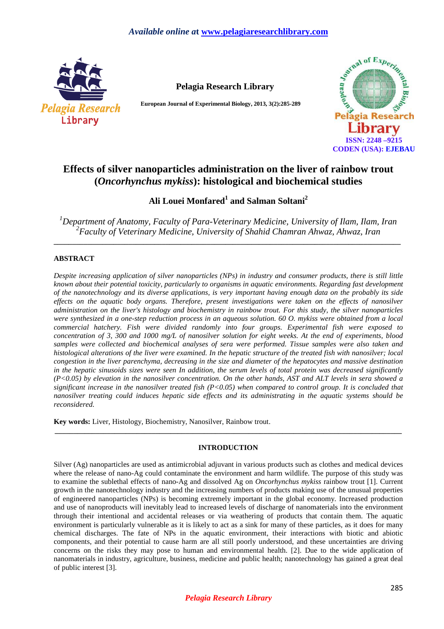

**Pelagia Research Library**

**European Journal of Experimental Biology, 2013, 3(2):285-289** 



# **Effects of silver nanoparticles administration on the liver of rainbow trout (***Oncorhynchus mykiss***): histological and biochemical studies**

**Ali Louei Monfared<sup>1</sup> and Salman Soltani<sup>2</sup>**

*<sup>1</sup>Department of Anatomy, Faculty of Para-Veterinary Medicine, University of Ilam, Ilam, Iran 2 Faculty of Veterinary Medicine, University of Shahid Chamran Ahwaz, Ahwaz, Iran* 

**\_\_\_\_\_\_\_\_\_\_\_\_\_\_\_\_\_\_\_\_\_\_\_\_\_\_\_\_\_\_\_\_\_\_\_\_\_\_\_\_\_\_\_\_\_\_\_\_\_\_\_\_\_\_\_\_\_\_\_\_\_\_\_\_\_\_\_\_\_\_\_\_\_\_\_\_\_\_\_\_\_\_\_\_\_\_\_\_\_\_\_\_\_** 

# **ABSTRACT**

*Despite increasing application of silver nanoparticles (NPs) in industry and consumer products, there is still little known about their potential toxicity, particularly to organisms in aquatic environments. Regarding fast development of the nanotechnology and its diverse applications, is very important having enough data on the probably its side effects on the aquatic body organs. Therefore, present investigations were taken on the effects of nanosilver administration on the liver's histology and biochemistry in rainbow trout. For this study, the silver nanoparticles were synthesized in a one-step reduction process in an aqueous solution. 60 O. mykiss were obtained from a local commercial hatchery. Fish were divided randomly into four groups. Experimental fish were exposed to concentration of 3, 300 and 1000 mg/L of nanosilver solution for eight weeks. At the end of experiments, blood samples were collected and biochemical analyses of sera were performed. Tissue samples were also taken and histological alterations of the liver were examined. In the hepatic structure of the treated fish with nanosilver; local congestion in the liver parenchyma, decreasing in the size and diameter of the hepatocytes and massive destination in the hepatic sinusoids sizes were seen In addition, the serum levels of total protein was decreased significantly (P<0.05) by elevation in the nanosilver concentration. On the other hands, AST and ALT levels in sera showed a significant increase in the nanosilver treated fish (P<0.05) when compared to control group. It is concluded that nanosilver treating could induces hepatic side effects and its administrating in the aquatic systems should be reconsidered.* 

**Key words:** Liver, Histology, Biochemistry, Nanosilver, Rainbow trout.

## **INTRODUCTION**

**\_\_\_\_\_\_\_\_\_\_\_\_\_\_\_\_\_\_\_\_\_\_\_\_\_\_\_\_\_\_\_\_\_\_\_\_\_\_\_\_\_\_\_\_\_\_\_\_\_\_\_\_\_\_\_\_\_\_\_\_\_\_\_\_\_\_\_\_\_\_\_\_\_\_\_\_\_\_\_\_\_\_\_\_\_\_\_\_\_\_\_\_\_** 

Silver (Ag) nanoparticles are used as antimicrobial adjuvant in various products such as clothes and medical devices where the release of nano-Ag could contaminate the environment and harm wildlife. The purpose of this study was to examine the sublethal effects of nano-Ag and dissolved Ag on *Oncorhynchus mykiss* rainbow trout [1]. Current growth in the nanotechnology industry and the increasing numbers of products making use of the unusual properties of engineered nanoparticles (NPs) is becoming extremely important in the global economy. Increased production and use of nanoproducts will inevitably lead to increased levels of discharge of nanomaterials into the environment through their intentional and accidental releases or via weathering of products that contain them. The aquatic environment is particularly vulnerable as it is likely to act as a sink for many of these particles, as it does for many chemical discharges. The fate of NPs in the aquatic environment, their interactions with biotic and abiotic components, and their potential to cause harm are all still poorly understood, and these uncertainties are driving concerns on the risks they may pose to human and environmental health. [2]. Due to the wide application of nanomaterials in industry, agriculture, business, medicine and public health; nanotechnology has gained a great deal of public interest [3].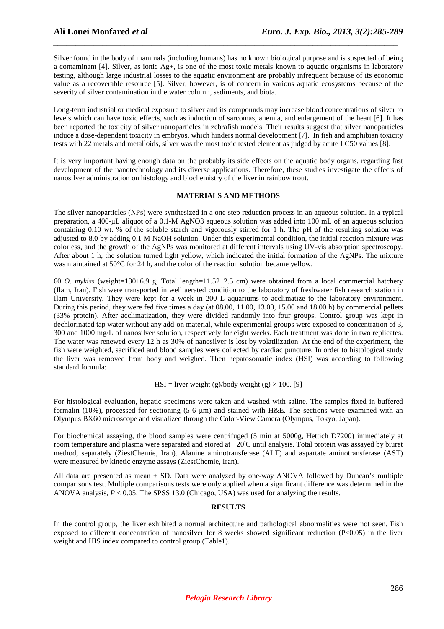Silver found in the body of mammals (including humans) has no known biological purpose and is suspected of being a contaminant [4]. Silver, as ionic Ag+, is one of the most toxic metals known to aquatic organisms in laboratory testing, although large industrial losses to the aquatic environment are probably infrequent because of its economic value as a recoverable resource [5]. Silver, however, is of concern in various aquatic ecosystems because of the severity of silver contamination in the water column, sediments, and biota.

*\_\_\_\_\_\_\_\_\_\_\_\_\_\_\_\_\_\_\_\_\_\_\_\_\_\_\_\_\_\_\_\_\_\_\_\_\_\_\_\_\_\_\_\_\_\_\_\_\_\_\_\_\_\_\_\_\_\_\_\_\_\_\_\_\_\_\_\_\_\_\_\_\_\_\_\_\_*

Long-term industrial or medical exposure to silver and its compounds may increase blood concentrations of silver to levels which can have toxic effects, such as induction of sarcomas, anemia, and enlargement of the heart [6]. It has been reported the toxicity of silver nanoparticles in zebrafish models. Their results suggest that silver nanoparticles induce a dose-dependent toxicity in embryos, which hinders normal development [7]. In fish and amphibian toxicity tests with 22 metals and metalloids, silver was the most toxic tested element as judged by acute LC50 values [8].

It is very important having enough data on the probably its side effects on the aquatic body organs, regarding fast development of the nanotechnology and its diverse applications. Therefore, these studies investigate the effects of nanosilver administration on histology and biochemistry of the liver in rainbow trout.

## **MATERIALS AND METHODS**

The silver nanoparticles (NPs) were synthesized in a one-step reduction process in an aqueous solution. In a typical preparation, a 400-µL aliquot of a 0.1-M AgNO3 aqueous solution was added into 100 mL of an aqueous solution containing 0.10 wt. % of the soluble starch and vigorously stirred for 1 h. The pH of the resulting solution was adjusted to 8.0 by adding 0.1 M NaOH solution. Under this experimental condition, the initial reaction mixture was colorless, and the growth of the AgNPs was monitored at different intervals using UV-vis absorption spectroscopy. After about 1 h, the solution turned light yellow, which indicated the initial formation of the AgNPs. The mixture was maintained at 50°C for 24 h, and the color of the reaction solution became yellow.

60 *O. mykiss* (weight=130±6.9 g; Total length=11.52±2.5 cm) were obtained from a local commercial hatchery (Ilam, Iran). Fish were transported in well aerated condition to the laboratory of freshwater fish research station in Ilam University. They were kept for a week in 200 L aquariums to acclimatize to the laboratory environment. During this period, they were fed five times a day (at 08.00, 11.00, 13.00, 15.00 and 18.00 h) by commercial pellets (33% protein). After acclimatization, they were divided randomly into four groups. Control group was kept in dechlorinated tap water without any add-on material, while experimental groups were exposed to concentration of 3, 300 and 1000 mg/L of nanosilver solution, respectively for eight weeks. Each treatment was done in two replicates. The water was renewed every 12 h as 30% of nanosilver is lost by volatilization. At the end of the experiment, the fish were weighted, sacrificed and blood samples were collected by cardiac puncture. In order to histological study the liver was removed from body and weighed. Then hepatosomatic index (HSI) was according to following standard formula:

### HSI = liver weight (g)/body weight (g)  $\times$  100. [9]

For histological evaluation, hepatic specimens were taken and washed with saline. The samples fixed in buffered formalin (10%), processed for sectioning (5-6 µm) and stained with H&E. The sections were examined with an Olympus BX60 microscope and visualized through the Color-View Camera (Olympus, Tokyo, Japan).

For biochemical assaying, the blood samples were centrifuged (5 min at 5000g, Hettich D7200) immediately at room temperature and plasma were separated and stored at −20◦C until analysis. Total protein was assayed by biuret method, separately (ZiestChemie, Iran). Alanine aminotransferase (ALT) and aspartate aminotransferase (AST) were measured by kinetic enzyme assays (ZiestChemie, Iran).

All data are presented as mean  $\pm$  SD. Data were analyzed by one-way ANOVA followed by Duncan's multiple comparisons test. Multiple comparisons tests were only applied when a significant difference was determined in the ANOVA analysis, *P* < 0.05. The SPSS 13.0 (Chicago, USA) was used for analyzing the results.

### **RESULTS**

In the control group, the liver exhibited a normal architecture and pathological abnormalities were not seen. Fish exposed to different concentration of nanosilver for 8 weeks showed significant reduction (P<0.05) in the liver weight and HIS index compared to control group (Table1).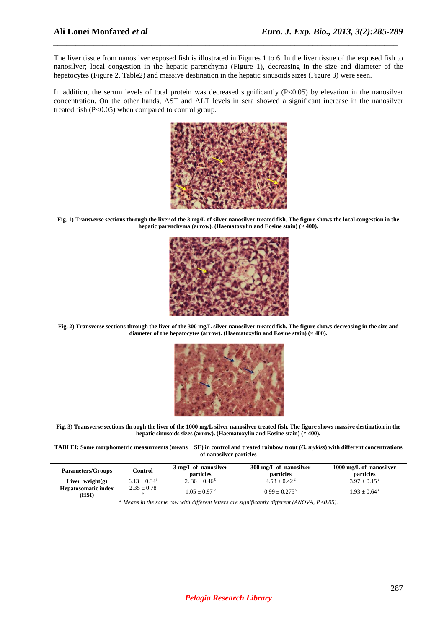The liver tissue from nanosilver exposed fish is illustrated in Figures 1 to 6. In the liver tissue of the exposed fish to nanosilver; local congestion in the hepatic parenchyma (Figure 1), decreasing in the size and diameter of the hepatocytes (Figure 2, Table2) and massive destination in the hepatic sinusoids sizes (Figure 3) were seen.

*\_\_\_\_\_\_\_\_\_\_\_\_\_\_\_\_\_\_\_\_\_\_\_\_\_\_\_\_\_\_\_\_\_\_\_\_\_\_\_\_\_\_\_\_\_\_\_\_\_\_\_\_\_\_\_\_\_\_\_\_\_\_\_\_\_\_\_\_\_\_\_\_\_\_\_\_\_*

In addition, the serum levels of total protein was decreased significantly (P<0.05) by elevation in the nanosilver concentration. On the other hands, AST and ALT levels in sera showed a significant increase in the nanosilver treated fish (P<0.05) when compared to control group.



**Fig. 1) Transverse sections through the liver of the 3 mg/L of silver nanosilver treated fish. The figure shows the local congestion in the**  hepatic parenchyma (arrow). (Haematoxylin and Eosine stain) ( $\times$  400).



**Fig. 2) Transverse sections through the liver of the 300 mg/L silver nanosilver treated fish. The figure shows decreasing in the size and**  diameter of the hepatocytes ( $\overline{arrow}$ ). (Haematoxylin and Eosine stain) ( $\times$  400).



**Fig. 3) Transverse sections through the liver of the 1000 mg/L silver nanosilver treated fish. The figure shows massive destination in the**  hepatic sinusoids sizes (arrow). (Haematoxylin and Eosine stain) ( $\times$  400).

**TABLEI: Some morphometric measurments (means ± SE) in control and treated rainbow trout (***O. mykiss***) with different concentrations of nanosilver particles**

| <b>Parameters/Groups</b>            | Control         | 3 mg/L of nanosilver<br>particles | 300 mg/L of nanosilver<br>particles | 1000 mg/L of nanosilver<br><b>particles</b> |
|-------------------------------------|-----------------|-----------------------------------|-------------------------------------|---------------------------------------------|
| Liver weight $(g)$                  | $6.13 + 0.34^a$ | 2. $36 + 0.46^{\circ}$            | $4.53 + 0.42$ <sup>c</sup>          | $3.97 + 0.15$ °                             |
| <b>Hepatosomatic index</b><br>(HSI) | $2.35 + 0.78$   | $1.05 + 0.97$ <sup>b</sup>        | $0.99 + 0.275$                      | $1.93 + 0.64$ °                             |

\* *Means in the same row with different letters are significantly different (ANOVA, P<0.05).*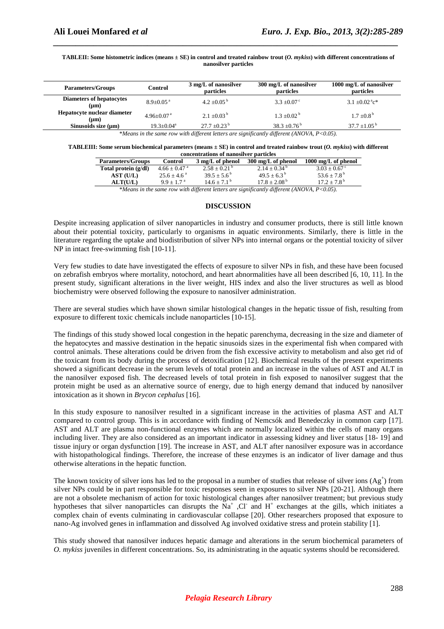#### **TABLEII: Some histometric indices (means ± SE) in control and treated rainbow trout (***O. mykiss***) with different concentrations of nanosilver particles**

*\_\_\_\_\_\_\_\_\_\_\_\_\_\_\_\_\_\_\_\_\_\_\_\_\_\_\_\_\_\_\_\_\_\_\_\_\_\_\_\_\_\_\_\_\_\_\_\_\_\_\_\_\_\_\_\_\_\_\_\_\_\_\_\_\_\_\_\_\_\_\_\_\_\_\_\_\_*

| <b>Parameters/Groups</b>                | Control                    | 3 mg/L of nanosilver<br>particles | 300 mg/L of nanosilver<br>particles | 1000 mg/L of nanosilver<br>particles       |
|-----------------------------------------|----------------------------|-----------------------------------|-------------------------------------|--------------------------------------------|
| <b>Diameters of hepatocytes</b><br>(nm) | $8.9 + 0.05$ <sup>a</sup>  | 4.2 $\pm 0.05^{\mathrm{b}}$       | $3.3 + 0.07$ °                      | $3.1 \pm 0.02$ <sup>a</sup> c <sup>*</sup> |
| Hepatocyte nuclear diameter<br>(nm)     | $4.96 + 0.07$ <sup>a</sup> | $2.1 + 0.03^{b}$                  | $1.3 + 0.02^{\mathrm{b}}$           | $1.7 \pm 0.8^{\mathrm{b}}$                 |
| Sinusoids size (µm)                     | $19.3 + 0.04^a$            | $27.7 + 0.23^{\mathrm{b}}$        | $38.3 + 0.76^b$                     | $37.7 + 1.05^{\mathrm{b}}$                 |

\**Means in the same row with different letters are significantly different (ANOVA, P<0.05).* 

#### **TABLEIII: Some serum biochemical parameters (means ± SE) in control and treated rainbow trout (***O. mykiss***) with different concentrations of nanosilver particles**

| <b>Parameters/Groups</b> | <b>Control</b>             | 3 mg/L of phenol                                                 | 300 mg/L of phenol                                                                                                                                                                                                                                                                                                                 | $1000 \text{ mg/L of phenol}$ |  |
|--------------------------|----------------------------|------------------------------------------------------------------|------------------------------------------------------------------------------------------------------------------------------------------------------------------------------------------------------------------------------------------------------------------------------------------------------------------------------------|-------------------------------|--|
| Total protein (g/dl)     | $4.66 + 0.47$ <sup>a</sup> | $2.58 + 0.21^{\circ}$                                            | $2.14 + 0.34^{\circ}$                                                                                                                                                                                                                                                                                                              | $3.03 + 0.67$ °               |  |
| AST (U/L)                | $25.6 + 4.6^{\circ}$       | $39.5 + 5.6^{\circ}$                                             | $49.5 + 6.3^{\circ}$                                                                                                                                                                                                                                                                                                               | $53.6 + 7.8^{\circ}$          |  |
| <b>ALT(U/L)</b>          | $9.9 + 1.7^{\text{a}}$     | $14.6 + 7.1^{\circ}$                                             | $17.8 + 2.08^{\mathrm{b}}$                                                                                                                                                                                                                                                                                                         | $17.2 + 7.8^{\mathrm{b}}$     |  |
| $\cdots$                 |                            | $\mathbf{1}$ $\mathbf{1}$ $\mathbf{1}$ $\mathbf{1}$ $\mathbf{1}$ | $\mathbf{a}$ $\mathbf{a}$ $\mathbf{a}$ $\mathbf{a}$ $\mathbf{a}$ $\mathbf{a}$ $\mathbf{a}$ $\mathbf{a}$ $\mathbf{a}$ $\mathbf{a}$ $\mathbf{a}$ $\mathbf{a}$ $\mathbf{a}$ $\mathbf{a}$ $\mathbf{a}$ $\mathbf{a}$ $\mathbf{a}$ $\mathbf{a}$ $\mathbf{a}$ $\mathbf{a}$ $\mathbf{a}$ $\mathbf{a}$ $\mathbf{a}$ $\mathbf{a}$ $\mathbf{$ |                               |  |

\**Means in the same row with different letters are significantly different (ANOVA, P<0.05).* 

#### **DISCUSSION**

Despite increasing application of silver nanoparticles in industry and consumer products, there is still little known about their potential toxicity, particularly to organisms in aquatic environments. Similarly, there is little in the literature regarding the uptake and biodistribution of silver NPs into internal organs or the potential toxicity of silver NP in intact free-swimming fish [10-11].

Very few studies to date have investigated the effects of exposure to silver NPs in fish, and these have been focused on zebrafish embryos where mortality, notochord, and heart abnormalities have all been described [6, 10, 11]. In the present study, significant alterations in the liver weight, HIS index and also the liver structures as well as blood biochemistry were observed following the exposure to nanosilver administration.

There are several studies which have shown similar histological changes in the hepatic tissue of fish, resulting from exposure to different toxic chemicals include nanoparticles [10-15].

The findings of this study showed local congestion in the hepatic parenchyma, decreasing in the size and diameter of the hepatocytes and massive destination in the hepatic sinusoids sizes in the experimental fish when compared with control animals. These alterations could be driven from the fish excessive activity to metabolism and also get rid of the toxicant from its body during the process of detoxification [12]. Biochemical results of the present experiments showed a significant decrease in the serum levels of total protein and an increase in the values of AST and ALT in the nanosilver exposed fish. The decreased levels of total protein in fish exposed to nanosilver suggest that the protein might be used as an alternative source of energy, due to high energy demand that induced by nanosilver intoxication as it shown in *Brycon cephalus* [16].

In this study exposure to nanosilver resulted in a significant increase in the activities of plasma AST and ALT compared to control group. This is in accordance with finding of Nemcsók and Benedeczky in common carp [17]. AST and ALT are plasma non-functional enzymes which are normally localized within the cells of many organs including liver. They are also considered as an important indicator in assessing kidney and liver status [18- 19] and tissue injury or organ dysfunction [19]. The increase in AST, and ALT after nanosilver exposure was in accordance with histopathological findings. Therefore, the increase of these enzymes is an indicator of liver damage and thus otherwise alterations in the hepatic function.

The known toxicity of silver ions has led to the proposal in a number of studies that release of silver ions  $(Ag^+)$  from silver NPs could be in part responsible for toxic responses seen in exposures to silver NPs [20-21]. Although there are not a obsolete mechanism of action for toxic histological changes after nanosilver treatment; but previous study hypotheses that silver nanoparticles can disrupts the  $Na^+$ , Cl and H<sup>+</sup> exchanges at the gills, which initiates a complex chain of events culminating in cardiovascular collapse [20]. Other researchers proposed that exposure to nano-Ag involved genes in inflammation and dissolved Ag involved oxidative stress and protein stability [1].

This study showed that nanosilver induces hepatic damage and alterations in the serum biochemical parameters of *O. mykiss* juveniles in different concentrations. So, its administrating in the aquatic systems should be reconsidered.